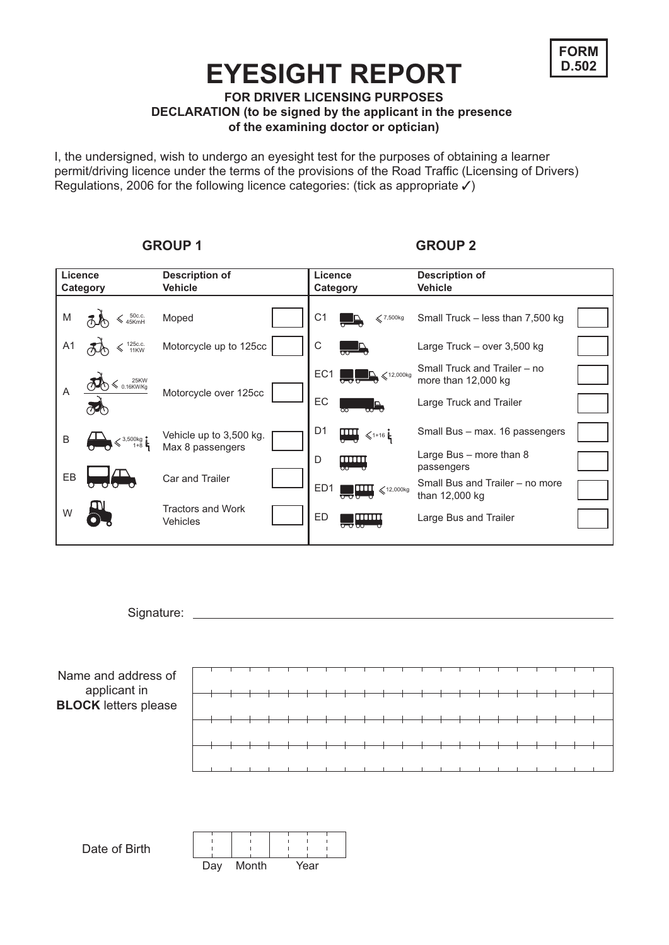

### **EYESIGHT REPORT**

**FOR DRIVER LICENSING PURPOSES**

**DECLARATION (to be signed by the applicant in the presence of the examining doctor or optician)**

I, the undersigned, wish to undergo an eyesight test for the purposes of obtaining a learner permit/driving licence under the terms of the provisions of the Road Traffic (Licensing of Drivers) Regulations, 2006 for the following licence categories: (tick as appropriate ✓)

### **Licence Category Description of Vehicle Licence Category Description of Vehicle** Moped Motorcycle up to 125cc Motorcycle over 125cc Vehicle up to 3,500 kg. Max 8 passengers Car and Trailer Tractors and Work Vehicles M A1 A B EB W Small Truck – less than 7,500 kg Large Truck – over 3,500 kg Small Truck and Trailer – no more than 12,000 kg Large Truck and Trailer C1 C EC1 EC D1  $\prod_{\ell_1,\ell_2,\ell_3}$  Small Bus – max. 16 passengers Large Bus – more than 8 passengers D Small Bus and Trailer – no more than 12,000 kg ED1 ED **Large Bus and Trailer** 50c.c.  $\frac{1}{45KmH}$  Moped  $\left| \begin{array}{ccc} 1 & 1 \ 1 & 0 \end{array} \right|$   $\left| \begin{array}{ccc} 1 & 1 \ 1 & 0 \end{array} \right|$   $\left| \begin{array}{ccc} 2 & 7,500kg \ 1 & 0 \end{array} \right|$  $\mathbb{R} \leqslant$ 12,000kg  $\leqslant$ 12,000kg 125c.c. 11KW 25KW 0.16KW/Kg 3,500kg 1+8  $≤$ 1+16 ⊧

Signature:





### GROUP 1 GROUP 2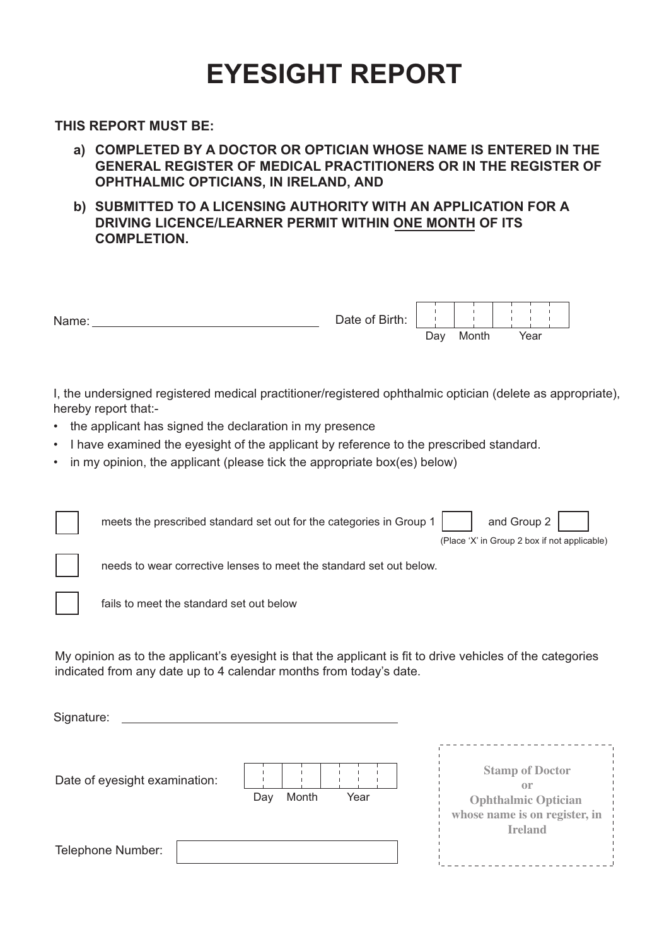## **EYESIGHT REPORT**

**THIS REPORT MUST BE:**

- **a) COMPLETED BY A DOCTOR OR OPTICIAN WHOSE NAME IS ENTERED IN THE GENERAL REGISTER OF MEDICAL PRACTITIONERS OR IN THE REGISTER OF OPHTHALMIC OPTICIANS, IN IRELAND, AND**
- **b) SUBMITTED TO A LICENSING AUTHORITY WITH AN APPLICATION FOR A DRIVING LICENCE/LEARNER PERMIT WITHIN ONE MONTH OF ITS COMPLETION.**



I, the undersigned registered medical practitioner/registered ophthalmic optician (delete as appropriate), hereby report that:-

- the applicant has signed the declaration in my presence
- I have examined the eyesight of the applicant by reference to the prescribed standard.
- in my opinion, the applicant (please tick the appropriate box(es) below)

|                                                                                                                                                                                                | meets the prescribed standard set out for the categories in Group 1 | and Group 2<br>(Place 'X' in Group 2 box if not applicable)                                         |
|------------------------------------------------------------------------------------------------------------------------------------------------------------------------------------------------|---------------------------------------------------------------------|-----------------------------------------------------------------------------------------------------|
|                                                                                                                                                                                                | needs to wear corrective lenses to meet the standard set out below. |                                                                                                     |
|                                                                                                                                                                                                | fails to meet the standard set out below                            |                                                                                                     |
| My opinion as to the applicant's eyesight is that the applicant is fit to drive vehicles of the categories<br>indicated from any date up to 4 calendar months from today's date.<br>Signature: |                                                                     |                                                                                                     |
|                                                                                                                                                                                                | Date of eyesight examination:<br>Year<br>Month<br>Day               | <b>Stamp of Doctor</b><br>$\Omega$ r<br><b>Ophthalmic Optician</b><br>whose name is on register, in |
|                                                                                                                                                                                                | Telephone Number:                                                   | <b>Ireland</b>                                                                                      |